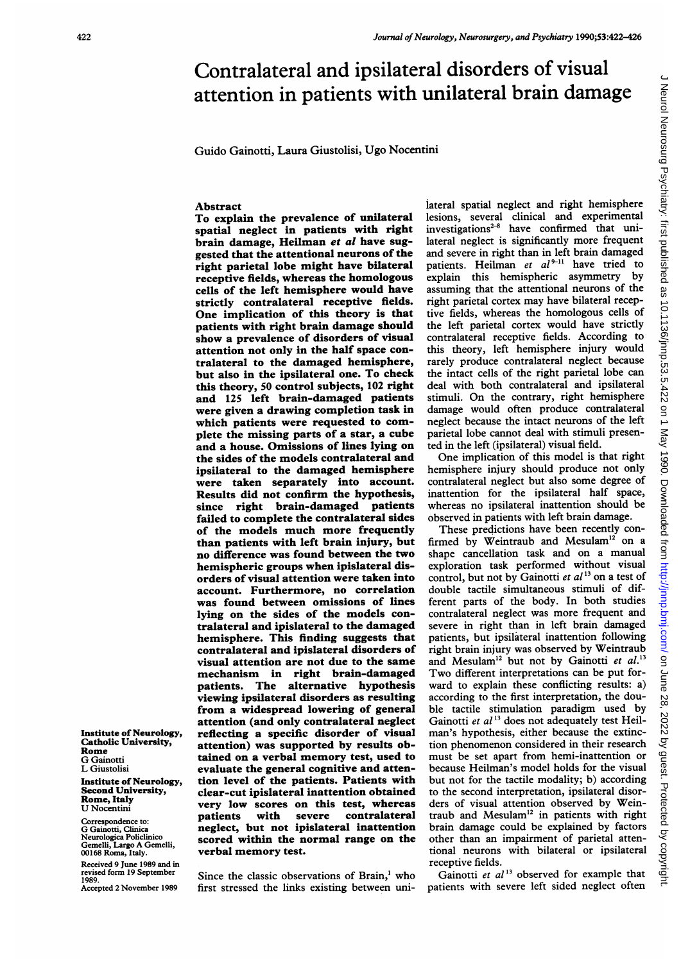# Contralateral and ipsilateral disorders of visual attention in patients with unilateral brain damage

Guido Gainotti, Laura Giustolisi, Ugo Nocentini

## Abstract

To explain the prevalence of unilateral spatial neglect in patients with right brain damage, Heilman et al have suggested that the attentional neurons of the right parietal lobe might have bilateral receptive fields, whereas the homologous cells of the left hemisphere would have strictly contralateral receptive fields. One implication of this theory is that patients with right brain damage should show a prevalence of disorders of visual attention not only in the half space contralateral to the damaged hemisphere, but also in the ipsilateral one. To check this theory, 50 control subjects, 102 right and 125 left brain-damaged patients were given a drawing completion task in which patients were requested to complete the missing parts of a star, a cube and a house. Omissions of lines lying on the sides of the models contralateral and ipsilateral to the damaged hemisphere were taken separately into account. Results did not confirm the hypothesis, since right brain-damaged patients failed to complete the contralateral sides of the models much more frequently than patients with left brain injury, but no difference was found between the two hemispheric groups when ipislateral disorders of visual attention were taken into account. Furthermore, no correlation was found between omissions of lines lying on the sides of the models contralateral and ipislateral to the damaged hemisphere. This finding suggests that contralateral and ipislateral disorders of visual attention are not due to the same mechanism in right brain-damaged patients. The alternative hypothesis viewing ipsilateral disorders as resulting from a widespread lowering of general attention (and only contralateral neglect reflecting a specific disorder of visual attention) was supported by results obtained on a verbal memory test, used to evaluate the general cognitive and attention level of the patients. Patients with clear-cut ipislateral inattention obtained very low scores on this test, whereas<br>patients with severe contralateral patients with severe contralateral neglect, but not ipislateral inattention scored within the normal range on the verbal memory test.

Since the classic observations of Brain,' who first stressed the links existing between uni-

iateral spatial neglect and right hemisphere lesions, several clinical and experimental investigations<sup> $2-8$ </sup> have confirmed that unilateral neglect is significantly more frequent and severe in right than in left brain damaged patients. Heilman et  $al^{p-11}$  have tried to<br>explain this hemispheric asymmetry by explain this hemispheric asymmetry assuming that the attentional neurons of the right parietal cortex may have bilateral receptive fields, whereas the homologous cells of the left parietal cortex would have strictly contralateral receptive fields. According to this theory, left hemisphere injury would rarely produce contralateral neglect because the intact cells of the right parietal lobe can deal with both contralateral and ipsilateral stimuli. On the contrary, right hemisphere damage would often produce contralateral neglect because the intact neurons of the left parietal lobe cannot deal with stimuli presented in the left (ipsilateral) visual field.

One implication of this model is that right hemisphere injury should produce not only contralateral neglect but also some degree of inattention for the ipsilateral half space, whereas no ipsilateral inattention should be observed in patients with left brain damage.

These predictions have been recently confirmed by Weintraub and Mesulam<sup>12</sup> on a shape cancellation task and on a manual exploration task performed without visual control, but not by Gainotti et  $al<sup>13</sup>$  on a test of double tactile simultaneous stimuli of different parts of the body. In both studies contralateral neglect was more frequent and severe in right than in left brain damaged patients, but ipsilateral inattention following right brain injury was observed by Weintraub and Mesulam<sup>12</sup> but not by Gainotti et  $al$ .<sup>13</sup> Two different interpretations can be put forward to explain these conflicting results: a) according to the first interpretation, the double tactile stimulation paradigm used by Gainotti et  $al<sup>13</sup>$  does not adequately test Heilman's hypothesis, either because the extinction phenomenon considered in their research must be set apart from hemi-inattention or because Heilman's model holds for the visual but not for the tactile modality; b) according to the second interpretation, ipsilateral disorders of visual attention observed by Weintraub and Mesulam'2 in patients with right brain damage could be explained by factors other than an impairment of parietal attentional neurons with bilateral or ipsilateral receptive fields.

Gainotti et  $al<sup>13</sup>$  observed for example that patients with severe left sided neglect often

#### Institute of Neurology, Catholic University, Rome G Gainotti L Giustolisi Institute of Neurology,

Second University, Rome, Italy U Nocentini

Correspondence to: G Gainotti, Clinica Neurologica Policlinico Gemelli, Largo A Gemelli, 00168 Roma, Italy.

Received 9 June 1989 and in revised form 19 September 1989. Accepted 2 November 1989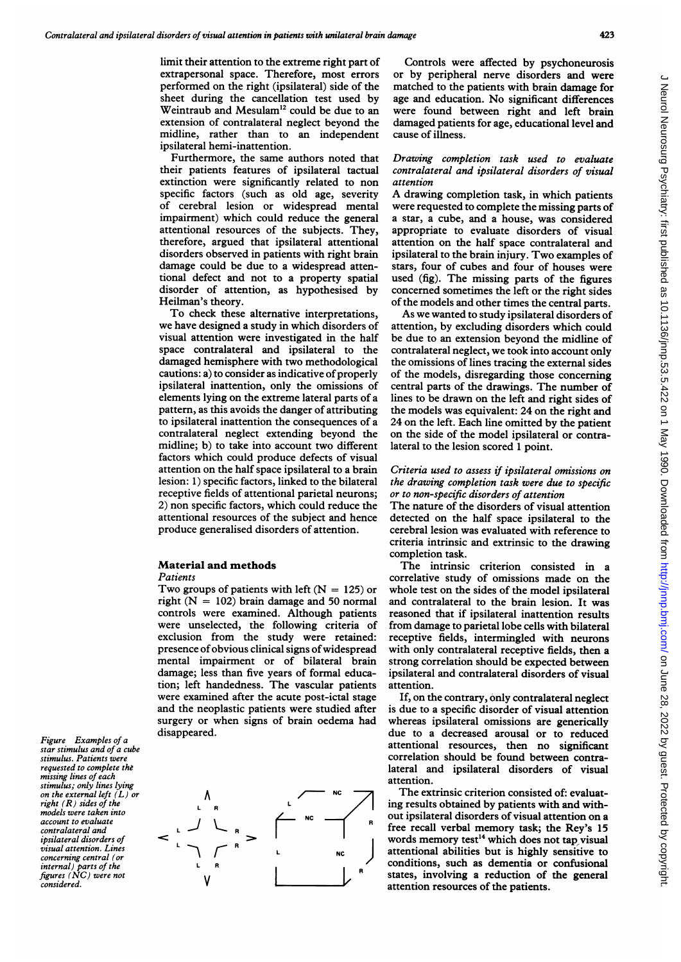limit their attention to the extreme right part of extrapersonal space. Therefore, most errors performed on the right (ipsilateral) side of the sheet during the cancellation test used by Weintraub and Mesulam'2 could be due to an extension of contralateral neglect beyond the midline, rather than to an independent ipsilateral hemi-inattention.

Furthermore, the same authors noted that their patients features of ipsilateral tactual extinction were significantly related to non specific factors (such as old age, severity of cerebral lesion or widespread mental impairment) which could reduce the general attentional resources of the subjects. They, therefore, argued that ipsilateral attentional disorders observed in patients with right brain damage could be due to a widespread attentional defect and not to a property spatial disorder of attention, as hypothesised by Heilman's theory.

To check these alternative interpretations, we have designed a study in which disorders of visual attention were investigated in the half space contralateral and ipsilateral to the damaged hemisphere with two methodological cautions: a) to consider as indicative of properly ipsilateral inattention, only the omissions of elements lying on the extreme lateral parts of a pattern, as this avoids the danger of attributing to ipsilateral inattention the consequences of a contralateral neglect extending beyond the midline; b) to take into account two different factors which could produce defects of visual attention on the half space ipsilateral to a brain lesion: 1) specific factors, linked to the bilateral receptive fields of attentional parietal neurons; 2) non specific factors, which could reduce the attentional resources of the subject and hence produce generalised disorders of attention.

## Material and methods

**Patients** 

Two groups of patients with left  $(N = 125)$  or right  $(N = 102)$  brain damage and 50 normal controls were examined. Although patients were unselected, the following criteria of exclusion from the study were retained: presence of obvious clinical signs of widespread mental impairment or of bilateral brain damage; less than five years of formal education; left handedness. The vascular patients were examined after the acute post-ictal stage and the neoplastic patients were studied after surgery or when signs of brain oedema had disappeared.

Figure Examples of a star stimulus and of a cube stimulus. Patients were requested to complete the missing lines of each stimulus; only lines lying on the external left  $(L)$  or right  $(R)$  sides of the models were taken into account to evaluate contralateral and ipsilateral disorders of visual attention. Lines concerning central (or internal) parts of the figures (NC) were not considered.



Controls were affected by psychoneurosis or by peripheral nerve disorders and were matched to the patients with brain damage for age and education. No significant differences were found between right and left brain damaged patients for age, educational level and cause of illness.

## Drawing completion task used to evaluate contralateral and ipsilateral disorders of visual attention

A drawing completion task, in which patients were requested to complete the missing parts of a star, a cube, and a house, was considered appropriate to evaluate disorders of visual attention on the half space contralateral and ipsilateral to the brain injury. Two examples of stars, four of cubes and four of houses were used (fig). The missing parts of the figures concemed sometimes the left or the right sides of the models and other times the central parts.

As we wanted to study ipsilateral disorders of attention, by excluding disorders which could be due to an extension beyond the midline of contralateral neglect, we took into account only the omissions of lines tracing the external sides of the models, disregarding those concerning central parts of the drawings. The number of lines to be drawn on the left and right sides of the models was equivalent: 24 on the right and 24 on the left. Each line omitted by the patient on the side of the model ipsilateral or contralateral to the lesion scored <sup>1</sup> point.

#### Criteria used to assess if ipsilateral omissions on the drawing completion task were due to specific or to non-specific disorders of attention

The nature of the disorders of visual attention detected on the half space ipsilateral to the cerebral lesion was evaluated with reference to criteria intrinsic and extrinsic to the drawing completion task.

The intrinsic criterion consisted in <sup>a</sup> correlative study of omissions made on the whole test on the sides of the model ipsilateral and contralateral to the brain lesion. It was reasoned that if ipsilateral inattention results from damage to parietal lobe cells with bilateral receptive fields, intermingled with neurons with only contralateral receptive fields, then a strong correlation should be expected between ipsilateral and contralateral disorders of visual attention.

If, on the contrary, only contralateral neglect is due to a specific disorder of visual attention whereas ipsilateral omissions are generically due to a decreased arousal or to reduced attentional resources, then no significant correlation should be found between contralateral and ipsilateral disorders of visual attention.

The extrinsic criterion consisted of: evaluating results obtained by patients with and without ipsilateral disorders of visual attention on a free recall verbal memory task; the Rey's 15 words memory test $<sup>14</sup>$  which does not tap visual</sup> attentional abilities but is highly sensitive to conditions, such as dementia or confusional states, involving a reduction of the general attention resources of the patients.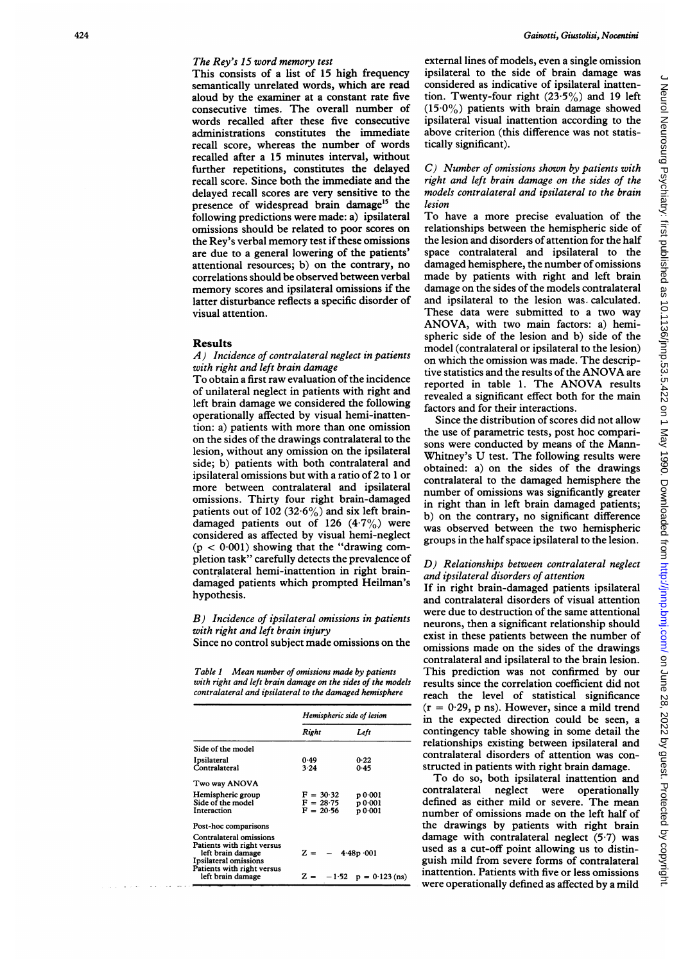## The Rey's 15 word memory test

This consists of a list of 15 high frequency semantically unrelated words, which are read aloud by the examiner at a constant rate five consecutive times. The overall number of words recalled after these five consecutive administrations constitutes the immediate recall score, whereas the number of words recalled after a 15 minutes interval, without further repetitions, constitutes the delayed recall score. Since both the immediate and the delayed recall scores are very sensitive to the presence of widespread brain damage<sup>15</sup> the following predictions were made: a) ipsilateral omissions should be related to poor scores on the Rey's verbal memory test if these omissions are due to a general lowering of the patients' attentional resources; b) on the contrary, no correlations should be observed between verbal memory scores and ipsilateral omissions if the latter disturbance reflects a specific disorder of visual attention.

#### Results

## A) Incidence of contralateral neglect in patients with right and left brain damage

To obtain a first raw evaluation of the incidence of unilateral neglect in patients with right and left brain damage we considered the following operationally affected by visual hemi-inattention: a) patients with more than one omission on the sides of the drawings contralateral to the lesion, without any omission on the ipsilateral side; b) patients with both contralateral and ipsilateral omissions but with a ratio of 2 to <sup>1</sup> or more between contralateral and ipsilateral omissions. Thirty four right brain-damaged patients out of 102 (32.6%) and six left braindamaged patients out of 126  $(4.7\%)$  were considered as affected by visual hemi-neglect  $(p < 0.001)$  showing that the "drawing completion task" carefully detects the prevalence of contralateral hemi-inattention in right braindamaged patients which prompted Heilman's hypothesis.

## B) Incidence of ipsilateral omissions in patients with right and left brain injury

Since no control subject made omissions on the

Table <sup>1</sup> Mean number of omissions made by patients with right and left brain damage on the sides of the models contralateral and ipsilateral to the damaged hemisphere

|                                                                                                                                                        | Hemispheric side of lesion                |                                                   |  |
|--------------------------------------------------------------------------------------------------------------------------------------------------------|-------------------------------------------|---------------------------------------------------|--|
|                                                                                                                                                        | Right                                     | Left                                              |  |
| Side of the model                                                                                                                                      |                                           |                                                   |  |
| Ipsilateral<br>Contralateral                                                                                                                           | 0.49<br>3.24                              | 0.22<br>0.45                                      |  |
| Two way ANOVA                                                                                                                                          |                                           |                                                   |  |
| Hemispheric group<br>Side of the model<br>Interaction                                                                                                  | $F = 30.32$<br>$F = 28.75$<br>$F = 20.56$ | p 0.001<br><b>p</b> 0.001<br>p 0.001              |  |
| Post-hoc comparisons                                                                                                                                   |                                           |                                                   |  |
| Contralateral omissions<br>Patients with right versus<br>left brain damage<br>Ipsilateral omissions<br>Patients with right versus<br>left brain damage | $Z = -$                                   | $4.48p \cdot 001$<br>$Z = -1.52$ $p = 0.123$ (ns) |  |

external lines of models, even a single omission ipsilateral to the side of brain damage was considered as indicative of ipsilateral inattention. Twenty-four right  $(23.5\%)$  and 19 left  $(15.0\%)$  patients with brain damage showed ipsilateral visual inattention according to the above criterion (this difference was not statistically significant).

## C) Number of omissions shown by patients with right and left brain damage on the sides of the models contralateral and ipsilateral to the brain lesion

To have a more precise evaluation of the relationships between the hemispheric side of the lesion and disorders of attention for the half space contralateral and ipsilateral to the damaged hemisphere, the number of omissions made by patients with right and left brain damage on the sides of the models contralateral and ipsilateral to the lesion was. calculated. These data were submitted to a two way ANOVA, with two main factors: a) hemispheric side of the lesion and b) side of the model (contralateral or ipsilateral to the lesion) on which the omission was made. The descriptive statistics and the results of the ANOVA are reported in table 1. The ANOVA results revealed a significant effect both for the main factors and for their interactions.

Since the distribution of scores did not allow the use of parametric tests, post hoc comparisons were conducted by means of the Mann-Whitney's U test. The following results were obtained: a) on the sides of the drawings contralateral to the damaged hemisphere the number of omissions was significantly greater in right than in left brain damaged patients; b) on the contrary, no significant difference was observed between the two hemispheric groups in the half space ipsilateral to the lesion.

## D) Relationships between contralateral neglect and ipsilateral disorders of attention

If in right brain-damaged patients ipsilateral and contralateral disorders of visual attention were due to destruction of the same attentional neurons, then a significant relationship should exist in these patients between the number of omissions made on the sides of the drawings contralateral and ipsilateral to the brain lesion. This prediction was not confirmed by our results since the correlation coefficient did not reach the level of statistical significance  $(r = 0.29, p \text{ ns})$ . However, since a mild trend in the expected direction could be seen, a contingency table showing in some detail the relationships existing between ipsilateral and contralateral disorders of attention was constructed in patients with right brain damage.

To do so, both ipsilateral inattention and contralateral neglect were operationally defined as either mild or severe. The mean number of omissions made on the left half of the drawings by patients with right brain damage with contralateral neglect (5-7) was used as a cut-off point allowing us to distinguish mild from severe forms of contralateral inattention. Patients with five or less omissions were operationally defined as affected by a mild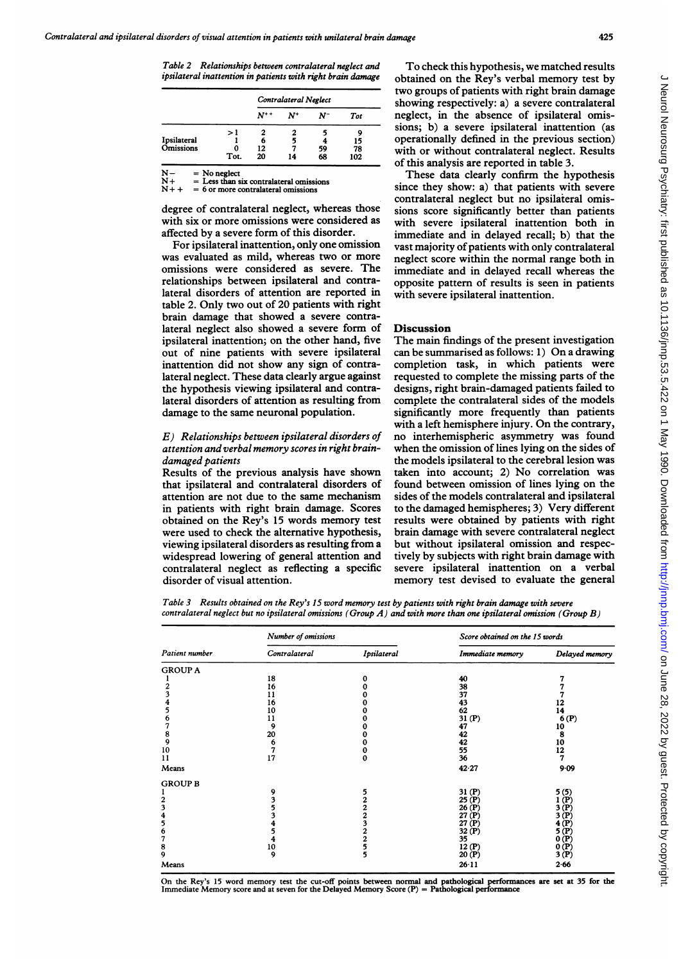Table 2 Relationships between contralateral neglect and ipsilateral inattention in patients with right brain damage

|                                 |      | Contralateral Neglect |       |    |            |
|---------------------------------|------|-----------------------|-------|----|------------|
|                                 |      | $N^{++}$              | $N^+$ | N- | <b>Tot</b> |
|                                 | >1   | 2                     |       | ۰, | Q          |
| Ipsilateral<br><b>Omissions</b> |      | 6                     |       |    | 15         |
|                                 | o    | 12                    |       | 59 | 78         |
|                                 | Tot. | 20                    | 14    | 68 | 102        |

 $N-$  = No neglect<br>  $N+$  = Less than s<br>  $N++$  = 6 or more c Less than six contralateral omissions 6 or more contralateral omissions

degree of contralateral neglect, whereas those with six or more omissions were considered as affected by a severe form of this disorder.

For ipsilateral inattention, only one omission was evaluated as mild, whereas two or more omissions were considered as severe. The relationships between ipsilateral and contralateral disorders of attention are reported in table 2. Only two out of 20 patients with right brain damage that showed a severe contralateral neglect also showed a severe form of ipsilateral inattention; on the other hand, five out of nine patients with severe ipsilateral inattention did not show any sign of contralateral neglect. These data clearly argue against the hypothesis viewing ipsilateral and contralateral disorders of attention as resulting from damage to the same neuronal population.

### E) Relationships between ipsilateral disorders of attention and verbal memory scores in right braindamaged patients

Results of the previous analysis have shown that ipsilateral and contralateral disorders of attention are not due to the same mechanism in patients with right brain damage. Scores obtained on the Rey's 15 words memory test were used to check the alternative hypothesis, viewing ipsilateral disorders as resulting from a widespread lowering of general attention and contralateral neglect as reflecting a specific disorder of visual attention.

To check this hypothesis, we matched results obtained on the Rey's verbal memory test by two groups of patients with right brain damage showing respectively: a) a severe contralateral neglect, in the absence of ipsilateral omissions; b) a severe ipsilateral inattention (as operationally defined in the previous section) with or without contralateral neglect. Results of this analysis are reported in table 3.

These data clearly confirm the hypothesis since they show: a) that patients with severe contralateral neglect but no ipsilateral omissions score significantly better than patients with severe ipsilateral inattention both in immediate and in delayed recall; b) that the vast majority of patients with only contralateral neglect score within the normal range both in immediate and in delayed recall whereas the opposite pattern of results is seen in patients with severe ipsilateral inattention.

#### Discussion

The main findings of the present investigation can be summarised as follows: 1) On <sup>a</sup> drawing completion task, in which patients were requested to complete the missing parts of the designs, right brain-damaged patients failed to complete the contralateral sides of the models significantly more frequently than patients with <sup>a</sup> left hemisphere injury. On the contrary, no interhemispheric asymmetry was found when the omission of lines lying on the sides of the models ipsilateral to the cerebral lesion was taken into account; 2) No correlation was found between omission of lines lying on the sides of the models contralateral and ipsilateral to the damaged hemispheres; 3) Very different results were obtained by patients with right brain damage with severe contralateral neglect but without ipsilateral omission and respectively by subjects with right brain damage with severe ipsilateral inattention on a verbal memory test devised to evaluate the general

Table 3 Results obtained on the Rey's 15 word memory test by patients with right brain damage with severe contralateral neglect but no ipsilateral omissions (Group  $A$ ) and with more than one ipsilateral omission (Group  $B$ )

| Patient number | Number of omissions |               | Score obtained on the 15 words |                |  |
|----------------|---------------------|---------------|--------------------------------|----------------|--|
|                | Contralateral       | Ipsilateral   | Immediate memory               | Delayed memory |  |
| <b>GROUP A</b> |                     |               |                                |                |  |
|                | 18                  | 0             | 40                             |                |  |
|                | 16                  |               | 38                             |                |  |
|                | 11                  |               | 37                             |                |  |
|                | 16                  |               | 43                             | 12             |  |
|                | 10                  |               | 62                             | 14             |  |
|                | 11                  |               | 31(P)                          | 6(P)           |  |
|                | 9                   |               | 47                             | 10             |  |
| 8              | 20                  |               | 42                             | 8              |  |
| 9              | 6                   |               | 42                             | 10             |  |
| 10             | 7                   | 0             | 55                             | 12             |  |
| 11             | 17                  | $\bf{0}$      | 36                             | 7              |  |
| Means          |                     |               | 42.27                          | 9.09           |  |
| <b>GROUP B</b> |                     |               |                                |                |  |
|                | 9                   | 5             | 31 (P)                         | 5 (5)          |  |
| 2              | 3                   | 2             | 25 (P)                         | (P)            |  |
| 3              | 5                   | 2             | 26 (P)                         | (P)<br>3       |  |
| 4              | 3                   | 2             | 27(P)                          | (P)            |  |
| 5              | 4                   | 3             | 27(P)                          | $(\mathbf{P})$ |  |
| 6              | 5                   | 2             | 32 (P)                         | (P)<br>5       |  |
| 7              | 4                   | 2             | 35                             | 0 (P)          |  |
| 8              | 10                  | $\frac{5}{5}$ | 12(P)                          | 0(P)           |  |
| 9              | 9                   |               | 20(P)                          | 3 (P)          |  |
| Means          |                     |               | $26 - 11$                      | 2.66           |  |

On the Rey's <sup>15</sup> word memory test the cut-off points between normal and pathological performances are set at 35 for the Immediate Memory score and at seven for the Delayed Memory Score (P) = Pathological performance